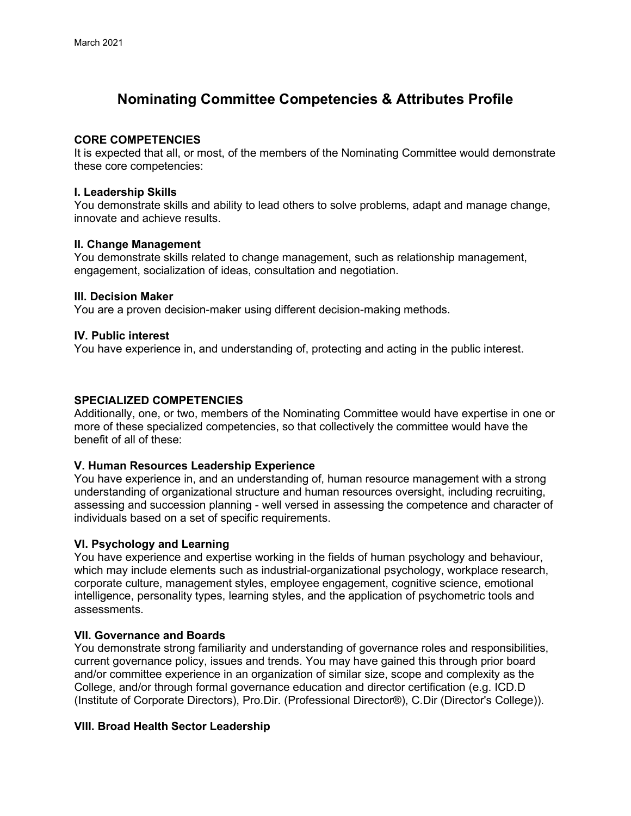# **Nominating Committee Competencies & Attributes Profile**

## **CORE COMPETENCIES**

It is expected that all, or most, of the members of the Nominating Committee would demonstrate these core competencies:

### **I. Leadership Skills**

You demonstrate skills and ability to lead others to solve problems, adapt and manage change, innovate and achieve results.

### **II. Change Management**

You demonstrate skills related to change management, such as relationship management, engagement, socialization of ideas, consultation and negotiation.

### **III. Decision Maker**

You are a proven decision-maker using different decision-making methods.

### **IV. Public interest**

You have experience in, and understanding of, protecting and acting in the public interest.

### **SPECIALIZED COMPETENCIES**

Additionally, one, or two, members of the Nominating Committee would have expertise in one or more of these specialized competencies, so that collectively the committee would have the benefit of all of these:

# **V. Human Resources Leadership Experience**

You have experience in, and an understanding of, human resource management with a strong understanding of organizational structure and human resources oversight, including recruiting, assessing and succession planning - well versed in assessing the competence and character of individuals based on a set of specific requirements.

# **VI. Psychology and Learning**

You have experience and expertise working in the fields of human psychology and behaviour, which may include elements such as industrial-organizational psychology, workplace research, corporate culture, management styles, employee engagement, cognitive science, emotional intelligence, personality types, learning styles, and the application of psychometric tools and assessments.

# **VII. Governance and Boards**

You demonstrate strong familiarity and understanding of governance roles and responsibilities, current governance policy, issues and trends. You may have gained this through prior board and/or committee experience in an organization of similar size, scope and complexity as the College, and/or through formal governance education and director certification (e.g. ICD.D (Institute of Corporate Directors), Pro.Dir. (Professional Director®), C.Dir (Director's College)).

# **VIII. Broad Health Sector Leadership**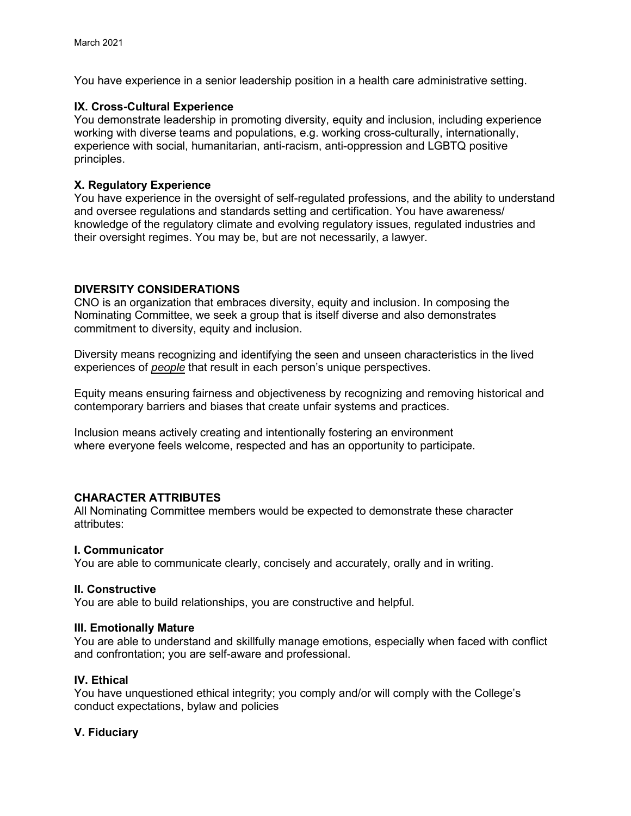You have experience in a senior leadership position in a health care administrative setting.

## **IX. Cross-Cultural Experience**

You demonstrate leadership in promoting diversity, equity and inclusion, including experience working with diverse teams and populations, e.g. working cross-culturally, internationally, experience with social, humanitarian, anti-racism, anti-oppression and LGBTQ positive principles.

## **X. Regulatory Experience**

You have experience in the oversight of self-regulated professions, and the ability to understand and oversee regulations and standards setting and certification. You have awareness/ knowledge of the regulatory climate and evolving regulatory issues, regulated industries and their oversight regimes. You may be, but are not necessarily, a lawyer.

## **DIVERSITY CONSIDERATIONS**

CNO is an organization that embraces diversity, equity and inclusion. In composing the Nominating Committee, we seek a group that is itself diverse and also demonstrates commitment to diversity, equity and inclusion.

Diversity means recognizing and identifying the seen and unseen characteristics in the lived experiences of *people* that result in each person's unique perspectives.

Equity means ensuring fairness and objectiveness by recognizing and removing historical and contemporary barriers and biases that create unfair systems and practices.

Inclusion means actively creating and intentionally fostering an environment where everyone feels welcome, respected and has an opportunity to participate.

# **CHARACTER ATTRIBUTES**

All Nominating Committee members would be expected to demonstrate these character attributes:

### **I. Communicator**

You are able to communicate clearly, concisely and accurately, orally and in writing.

### **II. Constructive**

You are able to build relationships, you are constructive and helpful.

### **III. Emotionally Mature**

You are able to understand and skillfully manage emotions, especially when faced with conflict and confrontation; you are self-aware and professional.

# **IV. Ethical**

You have unquestioned ethical integrity; you comply and/or will comply with the College's conduct expectations, bylaw and policies

# **V. Fiduciary**